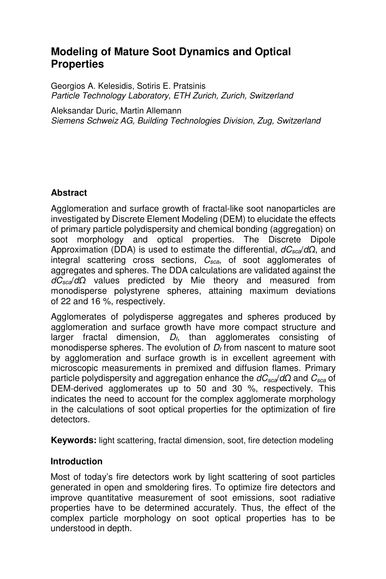# **Modeling of Mature Soot Dynamics and Optical Properties**

Georgios A. Kelesidis, Sotiris E. Pratsinis *Particle Technology Laboratory, ETH Zurich, Zurich, Switzerland* 

Aleksandar Duric, Martin Allemann *Siemens Schweiz AG, Building Technologies Division, Zug, Switzerland*

# **Abstract**

Agglomeration and surface growth of fractal-like soot nanoparticles are investigated by Discrete Element Modeling (DEM) to elucidate the effects of primary particle polydispersity and chemical bonding (aggregation) on soot morphology and optical properties. The Discrete Dipole Approximation (DDA) is used to estimate the differential, *dCsca*/*dΩ*, and integral scattering cross sections, *Csca*, of soot agglomerates of aggregates and spheres. The DDA calculations are validated against the *dCsca*/*dΩ* values predicted by Mie theory and measured from monodisperse polystyrene spheres, attaining maximum deviations of 22 and 16 %, respectively.

Agglomerates of polydisperse aggregates and spheres produced by agglomeration and surface growth have more compact structure and larger fractal dimension, *Df*, than agglomerates consisting of monodisperse spheres. The evolution of *Df* from nascent to mature soot by agglomeration and surface growth is in excellent agreement with microscopic measurements in premixed and diffusion flames. Primary particle polydispersity and aggregation enhance the *dCsca*/*dΩ* and *Csca* of DEM-derived agglomerates up to 50 and 30 %, respectively. This indicates the need to account for the complex agglomerate morphology in the calculations of soot optical properties for the optimization of fire detectors.

**Keywords:** light scattering, fractal dimension, soot, fire detection modeling

# **Introduction**

Most of today's fire detectors work by light scattering of soot particles generated in open and smoldering fires. To optimize fire detectors and improve quantitative measurement of soot emissions, soot radiative properties have to be determined accurately. Thus, the effect of the complex particle morphology on soot optical properties has to be understood in depth.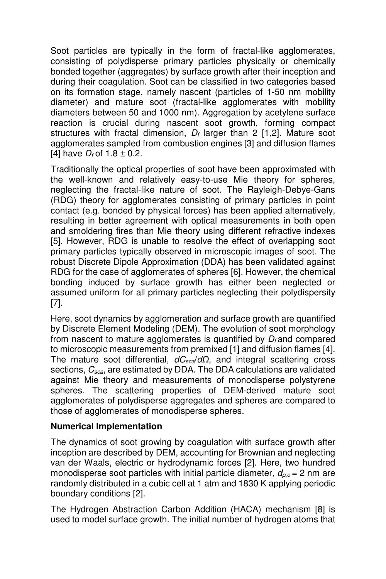Soot particles are typically in the form of fractal-like agglomerates, consisting of polydisperse primary particles physically or chemically bonded together (aggregates) by surface growth after their inception and during their coagulation. Soot can be classified in two categories based on its formation stage, namely nascent (particles of 1-50 nm mobility diameter) and mature soot (fractal-like agglomerates with mobility diameters between 50 and 1000 nm). Aggregation by acetylene surface reaction is crucial during nascent soot growth, forming compact structures with fractal dimension,  $D_f$  larger than 2 [1,2]. Mature soot agglomerates sampled from combustion engines [3] and diffusion flames [4] have  $D_f$  of 1.8  $\pm$  0.2.

Traditionally the optical properties of soot have been approximated with the well-known and relatively easy-to-use Mie theory for spheres, neglecting the fractal-like nature of soot. The Rayleigh-Debye-Gans (RDG) theory for agglomerates consisting of primary particles in point contact (e.g. bonded by physical forces) has been applied alternatively, resulting in better agreement with optical measurements in both open and smoldering fires than Mie theory using different refractive indexes [5]. However, RDG is unable to resolve the effect of overlapping soot primary particles typically observed in microscopic images of soot. The robust Discrete Dipole Approximation (DDA) has been validated against RDG for the case of agglomerates of spheres [6]. However, the chemical bonding induced by surface growth has either been neglected or assumed uniform for all primary particles neglecting their polydispersity [7].

Here, soot dynamics by agglomeration and surface growth are quantified by Discrete Element Modeling (DEM). The evolution of soot morphology from nascent to mature agglomerates is quantified by *D<sup>f</sup>* and compared to microscopic measurements from premixed [1] and diffusion flames [4]. The mature soot differential, *dCsca*/*dΩ*, and integral scattering cross sections, *Csca*, are estimated by DDA. The DDA calculations are validated against Mie theory and measurements of monodisperse polystyrene spheres. The scattering properties of DEM-derived mature soot agglomerates of polydisperse aggregates and spheres are compared to those of agglomerates of monodisperse spheres.

# **Numerical Implementation**

The dynamics of soot growing by coagulation with surface growth after inception are described by DEM, accounting for Brownian and neglecting van der Waals, electric or hydrodynamic forces [2]. Here, two hundred monodisperse soot particles with initial particle diameter, *dp,o* = 2 nm are randomly distributed in a cubic cell at 1 atm and 1830 K applying periodic boundary conditions [2].

The Hydrogen Abstraction Carbon Addition (HACA) mechanism [8] is used to model surface growth. The initial number of hydrogen atoms that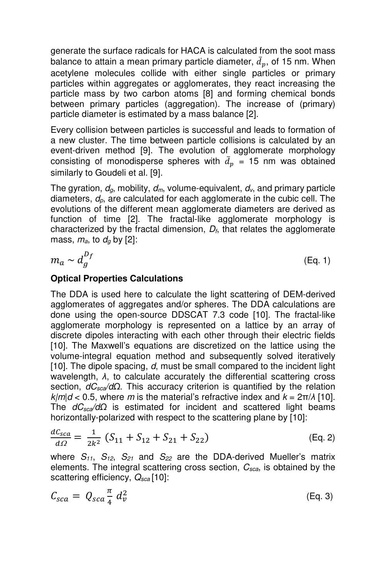generate the surface radicals for HACA is calculated from the soot mass balance to attain a mean primary particle diameter,  $\bar{d}_p$ , of 15 nm. When acetylene molecules collide with either single particles or primary particles within aggregates or agglomerates, they react increasing the particle mass by two carbon atoms [8] and forming chemical bonds between primary particles (aggregation). The increase of (primary) particle diameter is estimated by a mass balance [2].

Every collision between particles is successful and leads to formation of a new cluster. The time between particle collisions is calculated by an event-driven method [9]. The evolution of agglomerate morphology consisting of monodisperse spheres with  $\bar{d}_p$  = 15 nm was obtained similarly to Goudeli et al. [9].

The gyration, *dg*, mobility, *dm*, volume-equivalent, *dv*, and primary particle diameters, *dp*, are calculated for each agglomerate in the cubic cell. The evolutions of the different mean agglomerate diameters are derived as function of time [2]. The fractal-like agglomerate morphology is characterized by the fractal dimension, *Df*, that relates the agglomerate mass,  $m_a$ , to  $d_a$  by [2]:

$$
m_a \sim d_g^{D_f} \tag{Eq. 1}
$$

# **Optical Properties Calculations**

The DDA is used here to calculate the light scattering of DEM-derived agglomerates of aggregates and/or spheres. The DDA calculations are done using the open-source DDSCAT 7.3 code [10]. The fractal-like agglomerate morphology is represented on a lattice by an array of discrete dipoles interacting with each other through their electric fields [10]. The Maxwell's equations are discretized on the lattice using the volume-integral equation method and subsequently solved iteratively [10]. The dipole spacing, *d*, must be small compared to the incident light wavelength, *λ*, to calculate accurately the differential scattering cross section, *dCsca/dΩ*. This accuracy criterion is quantified by the relation  $k/m/d < 0.5$ , where *m* is the material's refractive index and  $k = 2\pi/\lambda$  [10]. The *dCsca/dΩ* is estimated for incident and scattered light beams horizontally-polarized with respect to the scattering plane by [10]:

$$
\frac{dC_{sca}}{d\Omega} = \frac{1}{2k^2} \left( S_{11} + S_{12} + S_{21} + S_{22} \right) \tag{Eq. 2}
$$

where *S11*, *S12*, *S21* and *S22* are the DDA-derived Mueller's matrix elements. The integral scattering cross section, *Csca*, is obtained by the scattering efficiency, *Qsca* [10]:

$$
C_{sca} = Q_{sca} \frac{\pi}{4} d_v^2
$$
 (Eq. 3)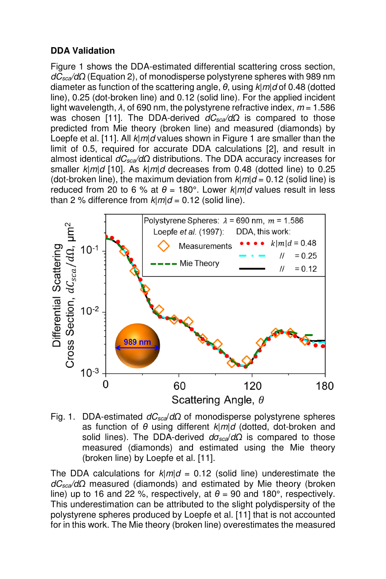# **DDA Validation**

Figure 1 shows the DDA-estimated differential scattering cross section, *dCsca/dΩ* (Equation 2), of monodisperse polystyrene spheres with 989 nm diameter as function of the scattering angle, *θ*, using *k*|*m*|*d* of 0.48 (dotted line), 0.25 (dot-broken line) and 0.12 (solid line). For the applied incident light wavelength, *λ*, of 690 nm, the polystyrene refractive index, *m* = 1.586 was chosen [11]. The DDA-derived *dC<sub>sca</sub>/d*Ω is compared to those predicted from Mie theory (broken line) and measured (diamonds) by Loepfe et al. [11]. All *k*|*m*|*d* values shown in Figure 1 are smaller than the limit of 0.5, required for accurate DDA calculations [2], and result in almost identical *dCsca/dΩ* distributions. The DDA accuracy increases for smaller *k*|*m*|*d* [10]. As *k*|*m*|*d* decreases from 0.48 (dotted line) to 0.25 (dot-broken line), the maximum deviation from  $k | m | d = 0.12$  (solid line) is reduced from 20 to 6 % at  $θ = 180^\circ$ . Lower  $k | m | d$  values result in less than 2 % difference from  $k|m/d = 0.12$  (solid line).



Fig. 1. DDA-estimated *dCsca*/*dΩ* of monodisperse polystyrene spheres as function of *θ* using different *k*|*m*|*d* (dotted, dot-broken and solid lines). The DDA-derived *dσsca*/*dΩ* is compared to those measured (diamonds) and estimated using the Mie theory (broken line) by Loepfe et al. [11].

The DDA calculations for  $k|m/d = 0.12$  (solid line) underestimate the *dCsca/dΩ* measured (diamonds) and estimated by Mie theory (broken line) up to 16 and 22 %, respectively, at  $\theta$  = 90 and 180°, respectively. This underestimation can be attributed to the slight polydispersity of the polystyrene spheres produced by Loepfe et al. [11] that is not accounted for in this work. The Mie theory (broken line) overestimates the measured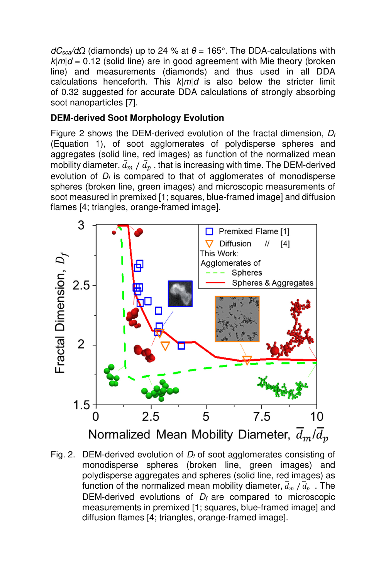*dC<sub>sca</sub>*/*d* $Ω$  (diamonds) up to 24 % at  $θ = 165°$ . The DDA-calculations with  $k|m|d = 0.12$  (solid line) are in good agreement with Mie theory (broken line) and measurements (diamonds) and thus used in all DDA calculations henceforth. This  $k|m|d$  is also below the stricter limit of 0.32 suggested for accurate DDA calculations of strongly absorbing soot nanoparticles [7].

# **DEM-derived Soot Morphology Evolution**

Figure 2 shows the DEM-derived evolution of the fractal dimension, *D<sup>f</sup>* (Equation 1), of soot agglomerates of polydisperse spheres and aggregates (solid line, red images) as function of the normalized mean mobility diameter,  $\bar{d}_m$  /  $\bar{d}_p$  , that is increasing with time. The DEM-derived evolution of *Df* is compared to that of agglomerates of monodisperse spheres (broken line, green images) and microscopic measurements of soot measured in premixed [1; squares, blue-framed image] and diffusion flames [4; triangles, orange-framed image].



Fig. 2. DEM-derived evolution of *Df* of soot agglomerates consisting of monodisperse spheres (broken line, green images) and polydisperse aggregates and spheres (solid line, red images) as function of the normalized mean mobility diameter,  $\overline{d}_m$  /  $\overline{d}_p\,$  . The DEM-derived evolutions of  $D_f$  are compared to microscopic measurements in premixed [1; squares, blue-framed image] and diffusion flames [4; triangles, orange-framed image].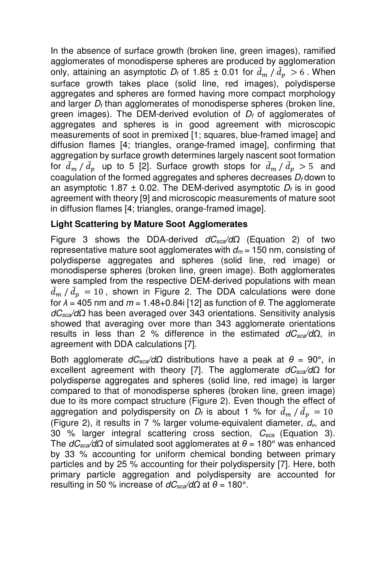In the absence of surface growth (broken line, green images), ramified agglomerates of monodisperse spheres are produced by agglomeration only, attaining an asymptotic  $D_f$  of 1.85  $\pm$  0.01 for  $\bar{d}_m / \bar{d}_p > 6$ . When surface growth takes place (solid line, red images), polydisperse aggregates and spheres are formed having more compact morphology and larger  $D_f$  than agglomerates of monodisperse spheres (broken line, green images). The DEM-derived evolution of *Df* of agglomerates of aggregates and spheres is in good agreement with microscopic measurements of soot in premixed [1; squares, blue-framed image] and diffusion flames [4; triangles, orange-framed image], confirming that aggregation by surface growth determines largely nascent soot formation for  $\bar{d}_m / \bar{d}_p$  up to 5 [2]. Surface growth stops for  $\bar{d}_m / \bar{d}_p > 5$  and coagulation of the formed aggregates and spheres decreases *Df* down to an asymptotic 1.87  $\pm$  0.02. The DEM-derived asymptotic  $D_f$  is in good agreement with theory [9] and microscopic measurements of mature soot in diffusion flames [4; triangles, orange-framed image].

# **Light Scattering by Mature Soot Agglomerates**

Figure 3 shows the DDA-derived *dCsca/dΩ* (Equation 2) of two representative mature soot agglomerates with  $d_m = 150$  nm, consisting of polydisperse aggregates and spheres (solid line, red image) or monodisperse spheres (broken line, green image). Both agglomerates were sampled from the respective DEM-derived populations with mean  $\bar{d}_m / \bar{d}_p = 10$ , shown in Figure 2. The DDA calculations were done for *λ* = 405 nm and *m* = 1.48+0.84i [12] as function of *θ*. The agglomerate *dCsca/dΩ* has been averaged over 343 orientations. Sensitivity analysis showed that averaging over more than 343 agglomerate orientations results in less than 2 % difference in the estimated *dCsca/dΩ*, in agreement with DDA calculations [7].

Both agglomerate  $dC_{sca}/dΩ$  distributions have a peak at  $θ = 90°$ , in excellent agreement with theory [7]. The agglomerate *dCsca/dΩ* for polydisperse aggregates and spheres (solid line, red image) is larger compared to that of monodisperse spheres (broken line, green image) due to its more compact structure (Figure 2). Even though the effect of aggregation and polydispersity on  $D_f$  is about 1 % for  $\bar{d}_m$  /  $\bar{d}_p$  = 10 (Figure 2), it results in 7 % larger volume-equivalent diameter, *dv*, and 30 % larger integral scattering cross section, *Csca* (Equation 3). The *dCsca/dΩ* of simulated soot agglomerates at *θ* = 180° was enhanced by 33 % accounting for uniform chemical bonding between primary particles and by 25 % accounting for their polydispersity [7]. Here, both primary particle aggregation and polydispersity are accounted for resulting in 50 % increase of  $dC_{sca}/dΩ$  at  $θ = 180°$ .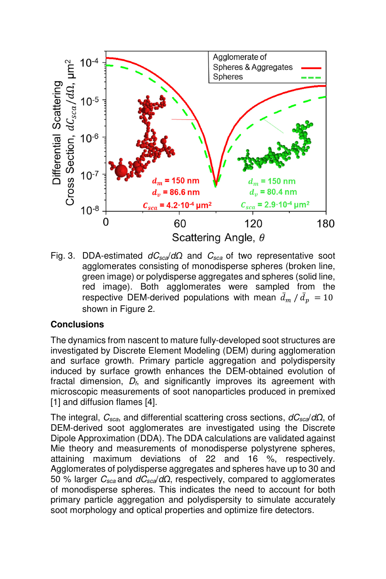

Fig. 3. DDA-estimated *dCsca*/*dΩ* and *Csca* of two representative soot agglomerates consisting of monodisperse spheres (broken line, green image) or polydisperse aggregates and spheres (solid line, red image). Both agglomerates were sampled from the respective DEM-derived populations with mean  $\bar{d}_m / \bar{d}_p = 10$ shown in Figure 2.

# **Conclusions**

The dynamics from nascent to mature fully-developed soot structures are investigated by Discrete Element Modeling (DEM) during agglomeration and surface growth. Primary particle aggregation and polydispersity induced by surface growth enhances the DEM-obtained evolution of fractal dimension, *Df*, and significantly improves its agreement with microscopic measurements of soot nanoparticles produced in premixed [1] and diffusion flames [4].

The integral, *Csca*, and differential scattering cross sections, *dCsca*/*dΩ*, of DEM-derived soot agglomerates are investigated using the Discrete Dipole Approximation (DDA). The DDA calculations are validated against Mie theory and measurements of monodisperse polystyrene spheres, attaining maximum deviations of 22 and 16 %, respectively. Agglomerates of polydisperse aggregates and spheres have up to 30 and 50 % larger *Csca* and *dCsca*/*dΩ*, respectively, compared to agglomerates of monodisperse spheres. This indicates the need to account for both primary particle aggregation and polydispersity to simulate accurately soot morphology and optical properties and optimize fire detectors.